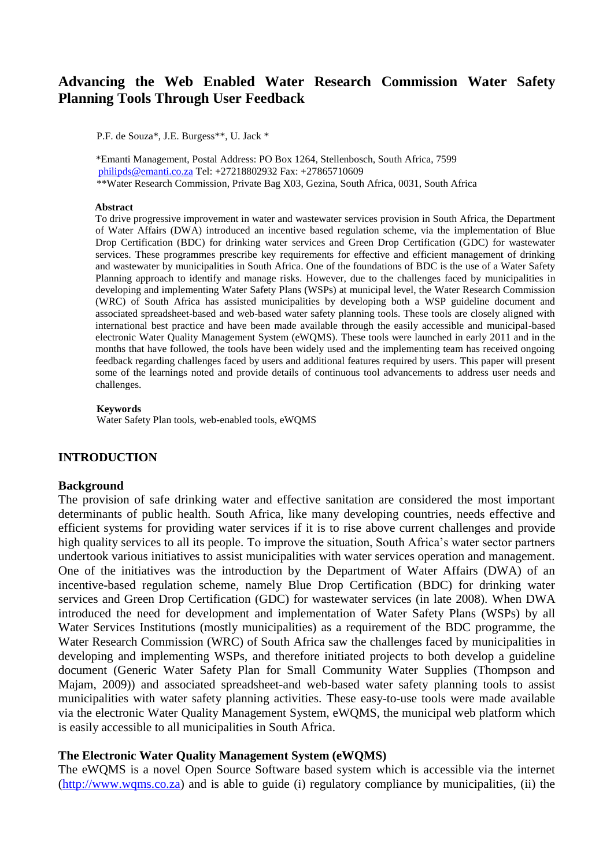# **Advancing the Web Enabled Water Research Commission Water Safety Planning Tools Through User Feedback**

P.F. de Souza\*, J.E. Burgess\*\*, U. Jack \*

\*Emanti Management, Postal Address: PO Box 1264, Stellenbosch, South Africa, 7599 [philipds@emanti.co.za](mailto:philipds@emanti.co.za) Tel: +27218802932 Fax: +27865710609 \*\*Water Research Commission, Private Bag X03, Gezina, South Africa, 0031, South Africa

#### **Abstract**

To drive progressive improvement in water and wastewater services provision in South Africa, the Department of Water Affairs (DWA) introduced an incentive based regulation scheme, via the implementation of Blue Drop Certification (BDC) for drinking water services and Green Drop Certification (GDC) for wastewater services. These programmes prescribe key requirements for effective and efficient management of drinking and wastewater by municipalities in South Africa. One of the foundations of BDC is the use of a Water Safety Planning approach to identify and manage risks. However, due to the challenges faced by municipalities in developing and implementing Water Safety Plans (WSPs) at municipal level, the Water Research Commission (WRC) of South Africa has assisted municipalities by developing both a WSP guideline document and associated spreadsheet-based and web-based water safety planning tools. These tools are closely aligned with international best practice and have been made available through the easily accessible and municipal-based electronic Water Quality Management System (eWQMS). These tools were launched in early 2011 and in the months that have followed, the tools have been widely used and the implementing team has received ongoing feedback regarding challenges faced by users and additional features required by users. This paper will present some of the learnings noted and provide details of continuous tool advancements to address user needs and challenges.

#### **Keywords**

Water Safety Plan tools, web-enabled tools, eWQMS

### **INTRODUCTION**

#### **Background**

The provision of safe drinking water and effective sanitation are considered the most important determinants of public health. South Africa, like many developing countries, needs effective and efficient systems for providing water services if it is to rise above current challenges and provide high quality services to all its people. To improve the situation, South Africa's water sector partners undertook various initiatives to assist municipalities with water services operation and management. One of the initiatives was the introduction by the Department of Water Affairs (DWA) of an incentive-based regulation scheme, namely Blue Drop Certification (BDC) for drinking water services and Green Drop Certification (GDC) for wastewater services (in late 2008). When DWA introduced the need for development and implementation of Water Safety Plans (WSPs) by all Water Services Institutions (mostly municipalities) as a requirement of the BDC programme, the Water Research Commission (WRC) of South Africa saw the challenges faced by municipalities in developing and implementing WSPs, and therefore initiated projects to both develop a guideline document (Generic Water Safety Plan for Small Community Water Supplies (Thompson and Majam, 2009)) and associated spreadsheet-and web-based water safety planning tools to assist municipalities with water safety planning activities. These easy-to-use tools were made available via the electronic Water Quality Management System, eWQMS, the municipal web platform which is easily accessible to all municipalities in South Africa.

### **The Electronic Water Quality Management System (eWQMS)**

The eWQMS is a novel Open Source Software based system which is accessible via the internet [\(http://www.wqms.co.za\)](http://www.wqms.co.za/) and is able to guide (i) regulatory compliance by municipalities, (ii) the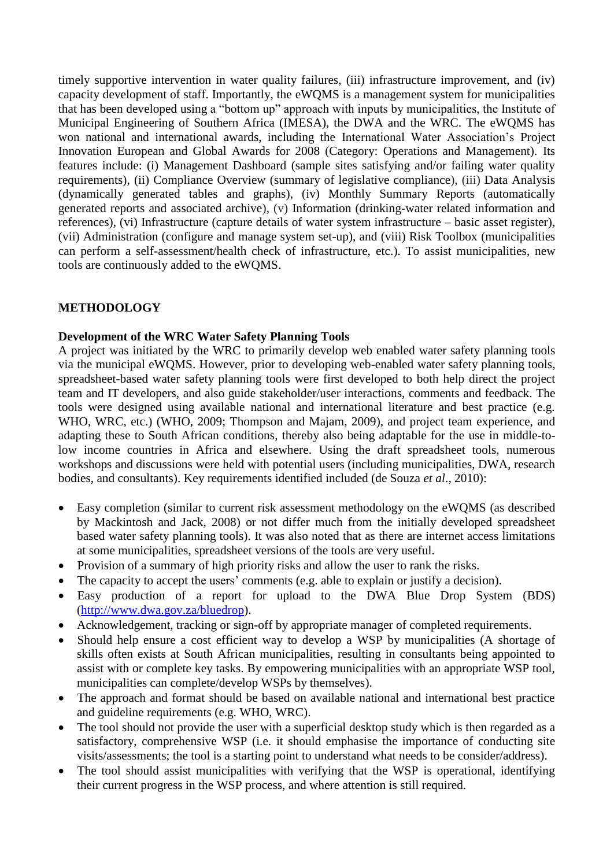timely supportive intervention in water quality failures, (iii) infrastructure improvement, and (iv) capacity development of staff. Importantly, the eWQMS is a management system for municipalities that has been developed using a "bottom up" approach with inputs by municipalities, the Institute of Municipal Engineering of Southern Africa (IMESA), the DWA and the WRC. The eWQMS has won national and international awards, including the International Water Association's Project Innovation European and Global Awards for 2008 (Category: Operations and Management). Its features include: (i) Management Dashboard (sample sites satisfying and/or failing water quality requirements), (ii) Compliance Overview (summary of legislative compliance), (iii) Data Analysis (dynamically generated tables and graphs), (iv) Monthly Summary Reports (automatically generated reports and associated archive), (v) Information (drinking-water related information and references), (vi) Infrastructure (capture details of water system infrastructure – basic asset register), (vii) Administration (configure and manage system set-up), and (viii) Risk Toolbox (municipalities can perform a self-assessment/health check of infrastructure, etc.). To assist municipalities, new tools are continuously added to the eWQMS.

# **METHODOLOGY**

# **Development of the WRC Water Safety Planning Tools**

A project was initiated by the WRC to primarily develop web enabled water safety planning tools via the municipal eWQMS. However, prior to developing web-enabled water safety planning tools, spreadsheet-based water safety planning tools were first developed to both help direct the project team and IT developers, and also guide stakeholder/user interactions, comments and feedback. The tools were designed using available national and international literature and best practice (e.g. WHO, WRC, etc.) (WHO, 2009; Thompson and Majam, 2009), and project team experience, and adapting these to South African conditions, thereby also being adaptable for the use in middle-tolow income countries in Africa and elsewhere. Using the draft spreadsheet tools, numerous workshops and discussions were held with potential users (including municipalities, DWA, research bodies, and consultants). Key requirements identified included (de Souza *et al*., 2010):

- Easy completion (similar to current risk assessment methodology on the eWQMS (as described by Mackintosh and Jack, 2008) or not differ much from the initially developed spreadsheet based water safety planning tools). It was also noted that as there are internet access limitations at some municipalities, spreadsheet versions of the tools are very useful.
- Provision of a summary of high priority risks and allow the user to rank the risks.
- The capacity to accept the users' comments (e.g. able to explain or justify a decision).
- Easy production of a report for upload to the DWA Blue Drop System (BDS) [\(http://www.dwa.gov.za/bluedrop\)](http://http/www.dwa.gov.za/bluedrop).
- Acknowledgement, tracking or sign-off by appropriate manager of completed requirements.
- Should help ensure a cost efficient way to develop a WSP by municipalities (A shortage of skills often exists at South African municipalities, resulting in consultants being appointed to assist with or complete key tasks. By empowering municipalities with an appropriate WSP tool, municipalities can complete/develop WSPs by themselves).
- The approach and format should be based on available national and international best practice and guideline requirements (e.g. WHO, WRC).
- The tool should not provide the user with a superficial desktop study which is then regarded as a satisfactory, comprehensive WSP (i.e. it should emphasise the importance of conducting site visits/assessments; the tool is a starting point to understand what needs to be consider/address).
- The tool should assist municipalities with verifying that the WSP is operational, identifying their current progress in the WSP process, and where attention is still required.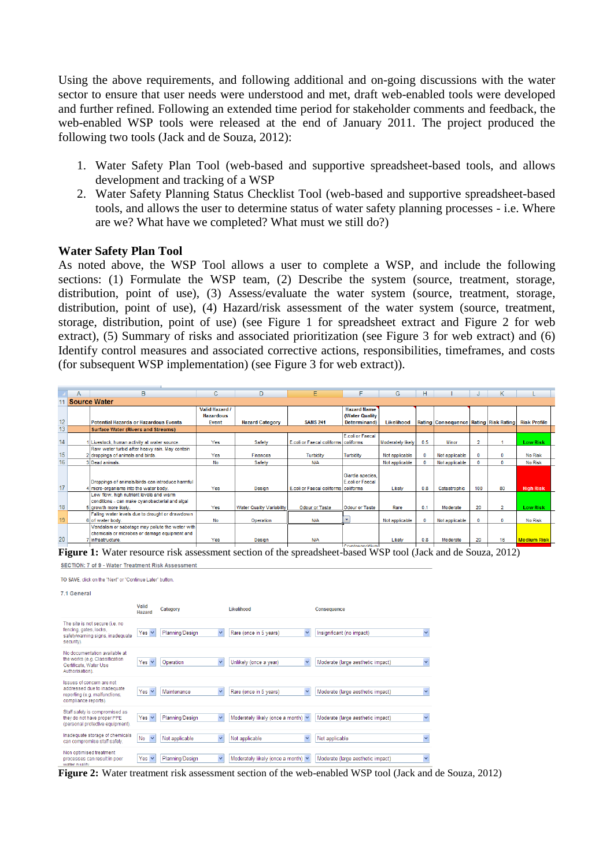Using the above requirements, and following additional and on-going discussions with the water sector to ensure that user needs were understood and met, draft web-enabled tools were developed and further refined. Following an extended time period for stakeholder comments and feedback, the web-enabled WSP tools were released at the end of January 2011. The project produced the following two tools (Jack and de Souza, 2012):

- 1. Water Safety Plan Tool (web-based and supportive spreadsheet-based tools, and allows development and tracking of a WSP
- 2. Water Safety Planning Status Checklist Tool (web-based and supportive spreadsheet-based tools, and allows the user to determine status of water safety planning processes - i.e. Where are we? What have we completed? What must we still do?)

### **Water Safety Plan Tool**

As noted above, the WSP Tool allows a user to complete a WSP, and include the following sections: (1) Formulate the WSP team, (2) Describe the system (source, treatment, storage, distribution, point of use), (3) Assess/evaluate the water system (source, treatment, storage, distribution, point of use), (4) Hazard/risk assessment of the water system (source, treatment, storage, distribution, point of use) (see Figure 1 for spreadsheet extract and Figure 2 for web extract), (5) Summary of risks and associated prioritization (see Figure 3 for web extract) and (6) Identify control measures and associated corrective actions, responsibilities, timeframes, and costs (for subsequent WSP implementation) (see Figure 3 for web extract)).

|    | A | в                                                                                                                    | с                                                  | D                                | E                                    |                                                      | G                 | H.           |                                             |                |          |                     |  |
|----|---|----------------------------------------------------------------------------------------------------------------------|----------------------------------------------------|----------------------------------|--------------------------------------|------------------------------------------------------|-------------------|--------------|---------------------------------------------|----------------|----------|---------------------|--|
|    |   | <b>Source Water</b>                                                                                                  |                                                    |                                  |                                      |                                                      |                   |              |                                             |                |          |                     |  |
| 12 |   | <b>Potential Hazards or Hazardous Events</b>                                                                         | <b>Valid Hazard /</b><br><b>Hazardous</b><br>Event | <b>Hazard Category</b>           | <b>SANS 241</b>                      | <b>Hazard Name</b><br>(Water Quality<br>Determinand) | Likelihood        |              | Rating   Consequence   Rating   Risk Rating |                |          | <b>Risk Profile</b> |  |
| 13 |   | <b>Surface Water (Rivers and Streams)</b>                                                                            |                                                    |                                  |                                      |                                                      |                   |              |                                             |                |          |                     |  |
| 14 |   | Livestock, human activity at water source.                                                                           | Yes                                                | Safety                           | E.coli or Faecal coliforms coliforms | E.coli or Faecal                                     | Moderately likely | 0.5          | Minor                                       | $\overline{2}$ |          | <b>Low Risk</b>     |  |
| 15 |   | Raw water turbid after heavy rain. May contain<br>2 droppings of animals and birds.                                  | Yes                                                | Finances                         | <b>Turbidity</b>                     | Turbidity                                            | Not applicable    | $\Omega$     | Not applicable                              | $\Omega$       |          | <b>No Risk</b>      |  |
| 16 |   | 3 Dead animals.                                                                                                      | No                                                 | Safety                           | N/A                                  |                                                      | Not applicable    |              | Not applicable                              | $\Omega$       |          | <b>No Risk</b>      |  |
| 17 |   | Droppings of animals/birds can introduce harmful<br>4 micro-organisms into the water body.                           | Yes                                                | Design                           | E.coli or Faecal coliforms coliforms | Giardia species,<br><b>F</b> coli or Faecal          | Likely            | 0.8          | Catastrophic                                | 100            | 80       | <b>High Risk</b>    |  |
| 18 |   | Low flow, high nutrient levels and warm<br>conditions - can make cyanobacterial and algal<br>5 arowth more likely.   | Yes                                                | <b>Water Quality Variability</b> | <b>Odour or Taste</b>                | <b>Odour or Taste</b>                                | Rare              | 0.1          | Moderate                                    | 20             |          | Low Risk            |  |
| 19 |   | Falling water levels due to drought or drawdown<br>6 of water body.                                                  | <b>No</b>                                          | Operation                        | N/A                                  |                                                      | Not applicable    | $\mathbf{0}$ | Not applicable                              | $\bf{0}$       | $\Omega$ | <b>No Risk</b>      |  |
| 20 |   | Vandalism or sabotage may pollute the water with<br>chemicals or microbes or damage equipment and<br>Infrastructure. | Yes                                                | Design                           | N/A                                  |                                                      | Likely            | 0.8          | Moderate                                    | 20             | 16       | <b>Medium Risk</b>  |  |
|    |   |                                                                                                                      |                                                    |                                  |                                      | Consideration of the con-                            |                   |              |                                             |                |          |                     |  |

Figure 1: Water resource risk assessment section of the spreadsheet-based WSP tool (Jack and de Souza, 2012) SECTION: 7 of 9 - Water Treatment Risk Assessment

TO SAVE, click on the "Next" or "Continue Later" buttor

7.1 General



**Figure 2:** Water treatment risk assessment section of the web-enabled WSP tool (Jack and de Souza, 2012)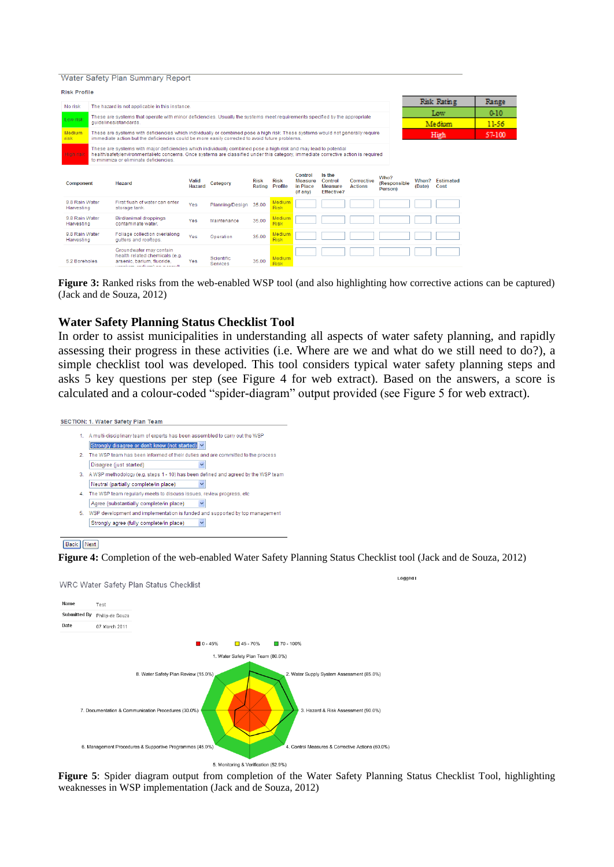#### Water Safety Plan Summary Report

| No risk                      |                       | The hazard is not applicable in this instance.                                                                                                                                                                                                                                                   |                 |                               |                       |                        |                                                   |                                                   |                              |                                 |        | Risk Rating             | Range |
|------------------------------|-----------------------|--------------------------------------------------------------------------------------------------------------------------------------------------------------------------------------------------------------------------------------------------------------------------------------------------|-----------------|-------------------------------|-----------------------|------------------------|---------------------------------------------------|---------------------------------------------------|------------------------------|---------------------------------|--------|-------------------------|-------|
|                              |                       | These are systems that operate with minor deficiencies. Usually the systems meet requirements specified by the appropriate                                                                                                                                                                       |                 |                               |                       |                        |                                                   |                                                   |                              |                                 | Low    |                         | 0.10  |
| Low risk                     | quidelines/standards. |                                                                                                                                                                                                                                                                                                  |                 |                               |                       |                        |                                                   |                                                   |                              |                                 | Medium | 11-56                   |       |
| Medium<br>risk               |                       | These are systems with deficiencies which individually or combined pose a high risk. These systems would not generally require<br>immediate action but the deficiencies could be more easily corrected to avoid future problems.                                                                 |                 | High                          |                       | 57-100                 |                                                   |                                                   |                              |                                 |        |                         |       |
| High risk                    |                       | These are systems with major deficiencies which individually combined pose a high risk and may lead to potential<br>health/safety/environmental/etc concerns. Once systems are classified under this category, immediate corrective action is required<br>to minimize or eliminate deficiencies. |                 |                               |                       |                        |                                                   |                                                   |                              |                                 |        |                         |       |
| <b>Component</b>             |                       | Hazard                                                                                                                                                                                                                                                                                           | Valid<br>Hazard | Category                      | <b>Risk</b><br>Rating | <b>Risk</b><br>Profile | Control<br><b>Measure</b><br>in Place<br>(if any) | Is the<br>Control<br>Measure<br><b>Effective?</b> | Corrective<br><b>Actions</b> | Who?<br>(Responsible<br>Person) | (Date) | When? Estimated<br>Cost |       |
| 9.8 Rain Water<br>Harvesting |                       | First flush of water can enter<br>storage tank.                                                                                                                                                                                                                                                  | Yes             | Planning/Design               | 35.00                 | Medium<br>Risk         |                                                   |                                                   |                              |                                 |        |                         |       |
| 9.8 Rain Water<br>Harvesting |                       | Bird/animal droppings<br>contaminate water.                                                                                                                                                                                                                                                      | Yes             | Maintenance                   | 35.00                 | Medium<br><b>Risk</b>  |                                                   |                                                   |                              |                                 |        |                         |       |
| 9.8 Rain Water<br>Harvesting |                       | Foliage collection over/along<br>qutters and rooftops.                                                                                                                                                                                                                                           | Yes             | Operation                     | 35.00                 | Medium<br>Risk         |                                                   |                                                   |                              |                                 |        |                         |       |
| 5.2 Boreholes                |                       | Groundwater may contain<br>health related chemicals (e.g.<br>arsenic, barium, fluoride,<br>the contract of the contract of the contract of the contract of the contract of the contract of the contract of                                                                                       | Yes             | <b>Scientific</b><br>Services | 35.00                 | Medium<br><b>Risk</b>  |                                                   |                                                   |                              |                                 |        |                         |       |

**Figure 3:** Ranked risks from the web-enabled WSP tool (and also highlighting how corrective actions can be captured) (Jack and de Souza, 2012)

### **Water Safety Planning Status Checklist Tool**

In order to assist municipalities in understanding all aspects of water safety planning, and rapidly assessing their progress in these activities (i.e. Where are we and what do we still need to do?), a simple checklist tool was developed. This tool considers typical water safety planning steps and asks 5 key questions per step (see Figure 4 for web extract). Based on the answers, a score is calculated and a colour-coded "spider-diagram" output provided (see Figure 5 for web extract).



#### Back Next

**Figure 4:** Completion of the web-enabled Water Safety Planning Status Checklist tool (Jack and de Souza, 2012)



**Figure 5**: Spider diagram output from completion of the Water Safety Planning Status Checklist Tool, highlighting weaknesses in WSP implementation (Jack and de Souza, 2012)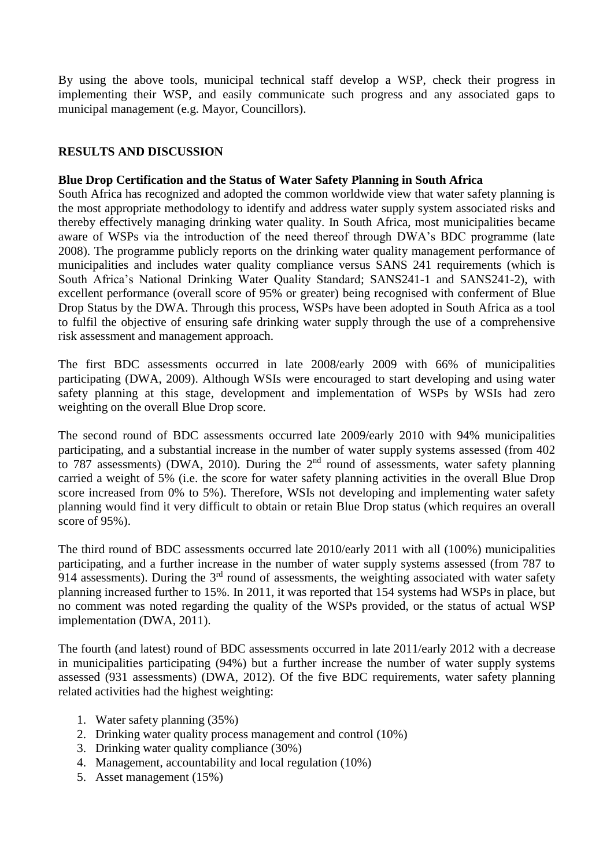By using the above tools, municipal technical staff develop a WSP, check their progress in implementing their WSP, and easily communicate such progress and any associated gaps to municipal management (e.g. Mayor, Councillors).

# **RESULTS AND DISCUSSION**

# **Blue Drop Certification and the Status of Water Safety Planning in South Africa**

South Africa has recognized and adopted the common worldwide view that water safety planning is the most appropriate methodology to identify and address water supply system associated risks and thereby effectively managing drinking water quality. In South Africa, most municipalities became aware of WSPs via the introduction of the need thereof through DWA's BDC programme (late 2008). The programme publicly reports on the drinking water quality management performance of municipalities and includes water quality compliance versus SANS 241 requirements (which is South Africa's National Drinking Water Quality Standard; SANS241-1 and SANS241-2), with excellent performance (overall score of 95% or greater) being recognised with conferment of Blue Drop Status by the DWA. Through this process, WSPs have been adopted in South Africa as a tool to fulfil the objective of ensuring safe drinking water supply through the use of a comprehensive risk assessment and management approach.

The first BDC assessments occurred in late 2008/early 2009 with 66% of municipalities participating (DWA, 2009). Although WSIs were encouraged to start developing and using water safety planning at this stage, development and implementation of WSPs by WSIs had zero weighting on the overall Blue Drop score.

The second round of BDC assessments occurred late 2009/early 2010 with 94% municipalities participating, and a substantial increase in the number of water supply systems assessed (from 402 to 787 assessments) (DWA, 2010). During the 2<sup>nd</sup> round of assessments, water safety planning carried a weight of 5% (i.e. the score for water safety planning activities in the overall Blue Drop score increased from 0% to 5%). Therefore, WSIs not developing and implementing water safety planning would find it very difficult to obtain or retain Blue Drop status (which requires an overall score of 95%).

The third round of BDC assessments occurred late 2010/early 2011 with all (100%) municipalities participating, and a further increase in the number of water supply systems assessed (from 787 to 914 assessments). During the  $3<sup>rd</sup>$  round of assessments, the weighting associated with water safety planning increased further to 15%. In 2011, it was reported that 154 systems had WSPs in place, but no comment was noted regarding the quality of the WSPs provided, or the status of actual WSP implementation (DWA, 2011).

The fourth (and latest) round of BDC assessments occurred in late 2011/early 2012 with a decrease in municipalities participating (94%) but a further increase the number of water supply systems assessed (931 assessments) (DWA, 2012). Of the five BDC requirements, water safety planning related activities had the highest weighting:

- 1. Water safety planning (35%)
- 2. Drinking water quality process management and control (10%)
- 3. Drinking water quality compliance (30%)
- 4. Management, accountability and local regulation (10%)
- 5. Asset management (15%)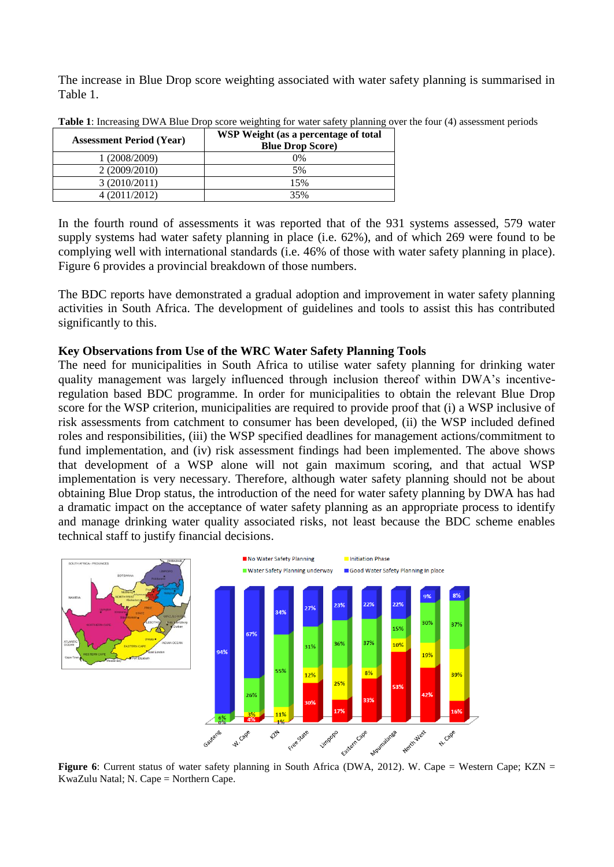The increase in Blue Drop score weighting associated with water safety planning is summarised in Table 1.

| <b>Assessment Period (Year)</b> | WSP Weight (as a percentage of total<br><b>Blue Drop Score)</b> |
|---------------------------------|-----------------------------------------------------------------|
| (2008/2009)                     | 0%                                                              |
| 2(2009/2010)                    | 5%                                                              |
| 3(2010/2011)                    | 15%                                                             |
| 4 (2011/2012)                   | 35%                                                             |

**Table 1**: Increasing DWA Blue Drop score weighting for water safety planning over the four (4) assessment periods

In the fourth round of assessments it was reported that of the 931 systems assessed, 579 water supply systems had water safety planning in place (i.e. 62%), and of which 269 were found to be complying well with international standards (i.e. 46% of those with water safety planning in place). Figure 6 provides a provincial breakdown of those numbers.

The BDC reports have demonstrated a gradual adoption and improvement in water safety planning activities in South Africa. The development of guidelines and tools to assist this has contributed significantly to this.

## **Key Observations from Use of the WRC Water Safety Planning Tools**

The need for municipalities in South Africa to utilise water safety planning for drinking water quality management was largely influenced through inclusion thereof within DWA's incentiveregulation based BDC programme. In order for municipalities to obtain the relevant Blue Drop score for the WSP criterion, municipalities are required to provide proof that (i) a WSP inclusive of risk assessments from catchment to consumer has been developed, (ii) the WSP included defined roles and responsibilities, (iii) the WSP specified deadlines for management actions/commitment to fund implementation, and (iv) risk assessment findings had been implemented. The above shows that development of a WSP alone will not gain maximum scoring, and that actual WSP implementation is very necessary. Therefore, although water safety planning should not be about obtaining Blue Drop status, the introduction of the need for water safety planning by DWA has had a dramatic impact on the acceptance of water safety planning as an appropriate process to identify and manage drinking water quality associated risks, not least because the BDC scheme enables technical staff to justify financial decisions.



**Figure 6**: Current status of water safety planning in South Africa (DWA, 2012). W. Cape = Western Cape; KZN = KwaZulu Natal; N. Cape = Northern Cape.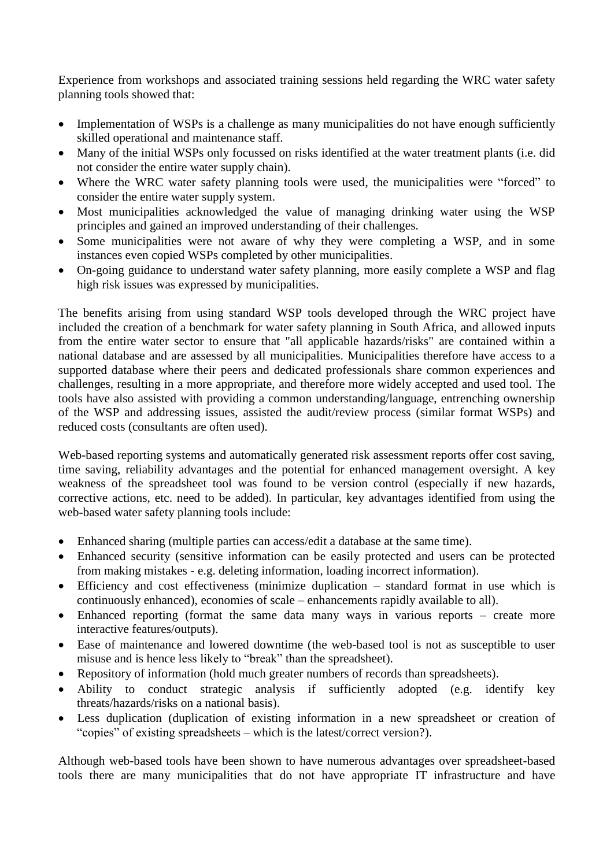Experience from workshops and associated training sessions held regarding the WRC water safety planning tools showed that:

- Implementation of WSPs is a challenge as many municipalities do not have enough sufficiently skilled operational and maintenance staff.
- Many of the initial WSPs only focussed on risks identified at the water treatment plants (i.e. did not consider the entire water supply chain).
- Where the WRC water safety planning tools were used, the municipalities were "forced" to consider the entire water supply system.
- Most municipalities acknowledged the value of managing drinking water using the WSP principles and gained an improved understanding of their challenges.
- Some municipalities were not aware of why they were completing a WSP, and in some instances even copied WSPs completed by other municipalities.
- On-going guidance to understand water safety planning, more easily complete a WSP and flag high risk issues was expressed by municipalities.

The benefits arising from using standard WSP tools developed through the WRC project have included the creation of a benchmark for water safety planning in South Africa, and allowed inputs from the entire water sector to ensure that "all applicable hazards/risks" are contained within a national database and are assessed by all municipalities. Municipalities therefore have access to a supported database where their peers and dedicated professionals share common experiences and challenges, resulting in a more appropriate, and therefore more widely accepted and used tool. The tools have also assisted with providing a common understanding/language, entrenching ownership of the WSP and addressing issues, assisted the audit/review process (similar format WSPs) and reduced costs (consultants are often used).

Web-based reporting systems and automatically generated risk assessment reports offer cost saving, time saving, reliability advantages and the potential for enhanced management oversight. A key weakness of the spreadsheet tool was found to be version control (especially if new hazards, corrective actions, etc. need to be added). In particular, key advantages identified from using the web-based water safety planning tools include:

- Enhanced sharing (multiple parties can access/edit a database at the same time).
- Enhanced security (sensitive information can be easily protected and users can be protected from making mistakes - e.g. deleting information, loading incorrect information).
- Efficiency and cost effectiveness (minimize duplication standard format in use which is continuously enhanced), economies of scale – enhancements rapidly available to all).
- Enhanced reporting (format the same data many ways in various reports create more interactive features/outputs).
- Ease of maintenance and lowered downtime (the web-based tool is not as susceptible to user misuse and is hence less likely to "break" than the spreadsheet).
- Repository of information (hold much greater numbers of records than spreadsheets).
- Ability to conduct strategic analysis if sufficiently adopted (e.g. identify key threats/hazards/risks on a national basis).
- Less duplication (duplication of existing information in a new spreadsheet or creation of "copies" of existing spreadsheets – which is the latest/correct version?).

Although web-based tools have been shown to have numerous advantages over spreadsheet-based tools there are many municipalities that do not have appropriate IT infrastructure and have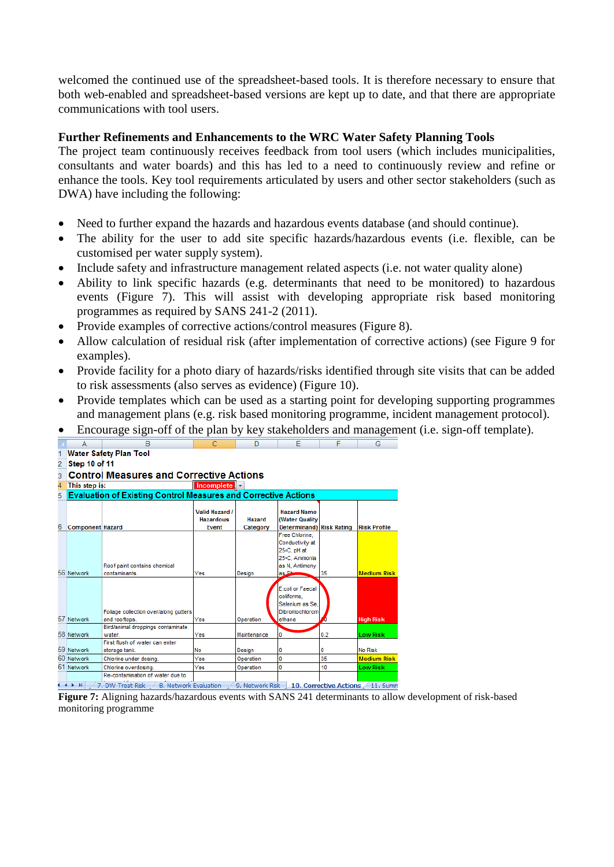welcomed the continued use of the spreadsheet-based tools. It is therefore necessary to ensure that both web-enabled and spreadsheet-based versions are kept up to date, and that there are appropriate communications with tool users.

# **Further Refinements and Enhancements to the WRC Water Safety Planning Tools**

The project team continuously receives feedback from tool users (which includes municipalities, consultants and water boards) and this has led to a need to continuously review and refine or enhance the tools. Key tool requirements articulated by users and other sector stakeholders (such as DWA) have including the following:

- Need to further expand the hazards and hazardous events database (and should continue).
- The ability for the user to add site specific hazards/hazardous events (i.e. flexible, can be customised per water supply system).
- Include safety and infrastructure management related aspects (i.e. not water quality alone)
- Ability to link specific hazards (e.g. determinants that need to be monitored) to hazardous events (Figure 7). This will assist with developing appropriate risk based monitoring programmes as required by SANS 241-2 (2011).
- Provide examples of corrective actions/control measures (Figure 8).
- Allow calculation of residual risk (after implementation of corrective actions) (see Figure 9 for examples).
- Provide facility for a photo diary of hazards/risks identified through site visits that can be added to risk assessments (also serves as evidence) (Figure 10).
- Provide templates which can be used as a starting point for developing supporting programmes and management plans (e.g. risk based monitoring programme, incident management protocol).

Encourage sign-off of the plan by key stakeholders and management (i.e. sign-off template).



**Figure 7:** Aligning hazards/hazardous events with SANS 241 determinants to allow development of risk-based monitoring programme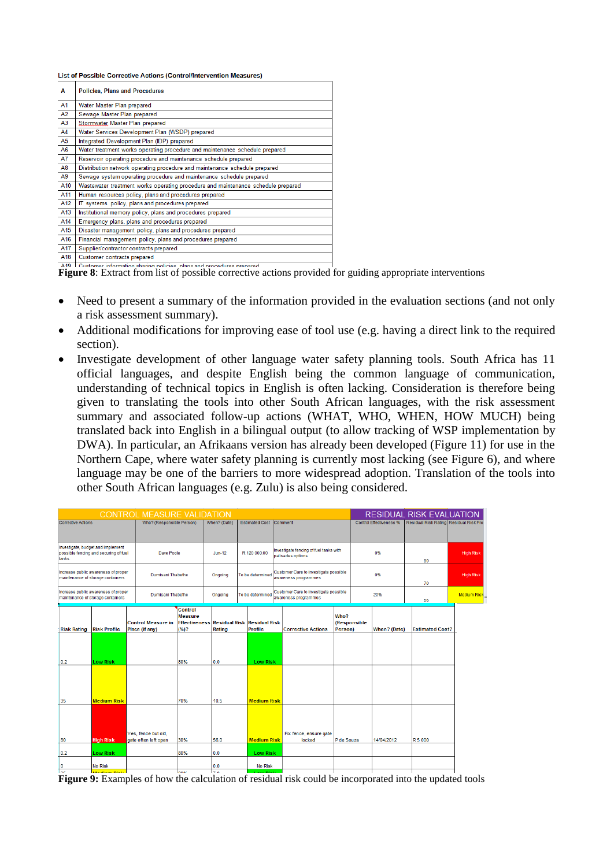List of Possible Corrective Actions (Control/Intervention Measures)

| Α                                                                     | <b>Policies, Plans and Procedures</b>                                            |  |  |  |  |  |  |  |  |  |
|-----------------------------------------------------------------------|----------------------------------------------------------------------------------|--|--|--|--|--|--|--|--|--|
| A1                                                                    | Water Master Plan prepared                                                       |  |  |  |  |  |  |  |  |  |
| A2                                                                    | Sewage Master Plan prepared                                                      |  |  |  |  |  |  |  |  |  |
| A <sub>3</sub>                                                        | Stormwater Master Plan prepared                                                  |  |  |  |  |  |  |  |  |  |
| A4                                                                    | Water Services Development Plan (WSDP) prepared                                  |  |  |  |  |  |  |  |  |  |
| A <sub>5</sub>                                                        | Integrated Development Plan (IDP) prepared                                       |  |  |  |  |  |  |  |  |  |
| A6                                                                    | Water treatment works operating procedure and maintenance schedule prepared      |  |  |  |  |  |  |  |  |  |
| A7<br>Reservoir operating procedure and maintenance schedule prepared |                                                                                  |  |  |  |  |  |  |  |  |  |
| A <sub>8</sub>                                                        | Distribution network operating procedure and maintenance schedule prepared       |  |  |  |  |  |  |  |  |  |
| A9                                                                    | Sewage system operating procedure and maintenance schedule prepared              |  |  |  |  |  |  |  |  |  |
| A <sub>10</sub>                                                       | Wastewater treatment works operating procedure and maintenance schedule prepared |  |  |  |  |  |  |  |  |  |
| A11                                                                   | Human resources policy, plans and procedures prepared                            |  |  |  |  |  |  |  |  |  |
| A <sub>12</sub>                                                       | IT systems policy, plans and procedures prepared                                 |  |  |  |  |  |  |  |  |  |
| A13                                                                   | Institutional memory policy, plans and procedures prepared                       |  |  |  |  |  |  |  |  |  |
| A <sub>14</sub>                                                       | Emergency plans, plans and procedures prepared                                   |  |  |  |  |  |  |  |  |  |
| A <sub>15</sub>                                                       | Disaster management policy, plans and procedures prepared                        |  |  |  |  |  |  |  |  |  |
| A <sub>16</sub>                                                       | Financial management policy, plans and procedures prepared                       |  |  |  |  |  |  |  |  |  |
| A17                                                                   | Supplier/contractor contracts prepared                                           |  |  |  |  |  |  |  |  |  |
| A <sub>18</sub>                                                       | Customer contracts prepared                                                      |  |  |  |  |  |  |  |  |  |
|                                                                       |                                                                                  |  |  |  |  |  |  |  |  |  |

**Figure 8:** Extract from list of possible corrective actions provided for guiding appropriate interventions **Figure 8:** Extract from list of possible corrective actions provided for guiding appropriate interventions

- Need to present a summary of the information provided in the evaluation sections (and not only a risk assessment summary).
- Additional modifications for improving ease of tool use (e.g. having a direct link to the required section).
- Investigate development of other language water safety planning tools. South Africa has 11 official languages, and despite English being the common language of communication, understanding of technical topics in English is often lacking. Consideration is therefore being given to translating the tools into other South African languages, with the risk assessment summary and associated follow-up actions (WHAT, WHO, WHEN, HOW MUCH) being translated back into English in a bilingual output (to allow tracking of WSP implementation by DWA). In particular, an Afrikaans version has already been developed (Figure 11) for use in the Northern Cape, where water safety planning is currently most lacking (see Figure 6), and where language may be one of the barriers to more widespread adoption. Translation of the tools into other South African languages (e.g. Zulu) is also being considered.

| <b>CONTROL MEASURE VALIDATION</b><br><b>Estimated Cost Comment</b>                            |                                                                            |  |                                             |                                                           |          |                                              |                  |                                                             |                                                               |                                  |                 |              | <b>RESIDUAL RISK EVALUATION</b> |                                        |                  |
|-----------------------------------------------------------------------------------------------|----------------------------------------------------------------------------|--|---------------------------------------------|-----------------------------------------------------------|----------|----------------------------------------------|------------------|-------------------------------------------------------------|---------------------------------------------------------------|----------------------------------|-----------------|--------------|---------------------------------|----------------------------------------|------------------|
| <b>Corrective Actions</b>                                                                     |                                                                            |  | Who? (Responsible Person)                   |                                                           |          | When? (Date)                                 |                  |                                                             |                                                               |                                  |                 |              | <b>Control Effectiveness %</b>  | Residual Risk Rating Residual Risk Pro |                  |
| tanks                                                                                         | Investigate, budget and Implement<br>possible fencing and securing of fuel |  | Dave Poole                                  |                                                           | $Jun-12$ | R 120 000.00                                 |                  | Investigate fencing of fuel tanks with<br>palisades options |                                                               |                                  | 0%              |              | 80                              | High Risk                              |                  |
| Increase public awareness of proper<br>Dumisani Thabethe<br>maintenance of storage containers |                                                                            |  |                                             |                                                           |          | Ongoing                                      |                  | To be determined                                            | Customer Care to investigate possible<br>awareness programmes |                                  |                 |              | 0%                              | 70                                     | <b>High Risk</b> |
| Increase public awareness of proper<br>maintenance of storage containers                      |                                                                            |  | Dumisani Thabethe                           |                                                           | Ongoing  |                                              | To be determined |                                                             | Customer Care to investigate possible<br>awareness programmes |                                  | 20%             |              | 56                              | <b>Medium Risk</b>                     |                  |
| <b>Risk Rating Risk Profile</b>                                                               |                                                                            |  | <b>Control Measure in</b><br>Place (if any) | Control<br><b>Measure</b><br><b>Effectiveness</b><br>(%)? |          | <b>Residual Risk Residual Risk</b><br>Rating |                  | Profile                                                     |                                                               | <b>Corrective Actions</b>        | Who?<br>Person) | (Responsible | When? (Date)                    | <b>Estimated Cost?</b>                 |                  |
| 0.2                                                                                           | <b>Low Risk</b>                                                            |  |                                             | 80%                                                       |          | 0.0                                          |                  | <b>Low Risk</b>                                             |                                                               |                                  |                 |              |                                 |                                        |                  |
|                                                                                               |                                                                            |  |                                             |                                                           |          |                                              |                  |                                                             |                                                               |                                  |                 |              |                                 |                                        |                  |
| 35                                                                                            | <b>Medium Risk</b>                                                         |  |                                             | 70%                                                       |          | 10.5                                         |                  | <b>Medium Risk</b>                                          |                                                               |                                  |                 |              |                                 |                                        |                  |
| 80                                                                                            | <b>High Risk</b>                                                           |  | Yes, fence but old,<br>gate often left open | 30%                                                       |          | 56.0                                         |                  | <b>Medium Risk</b>                                          |                                                               | Fix fence, ensure gate<br>locked | P de Souza      |              | 14/04/2012                      | R 5 000                                |                  |
| 0.2<br>10                                                                                     | <b>Low Risk</b><br><b>No Risk</b>                                          |  |                                             | 80%                                                       |          | 0.0<br>0.0                                   |                  | <b>Low Risk</b><br><b>No Risk</b>                           |                                                               |                                  |                 |              |                                 |                                        |                  |

Figure 9: Examples of how the calculation of residual risk could be incorporated into the updated tools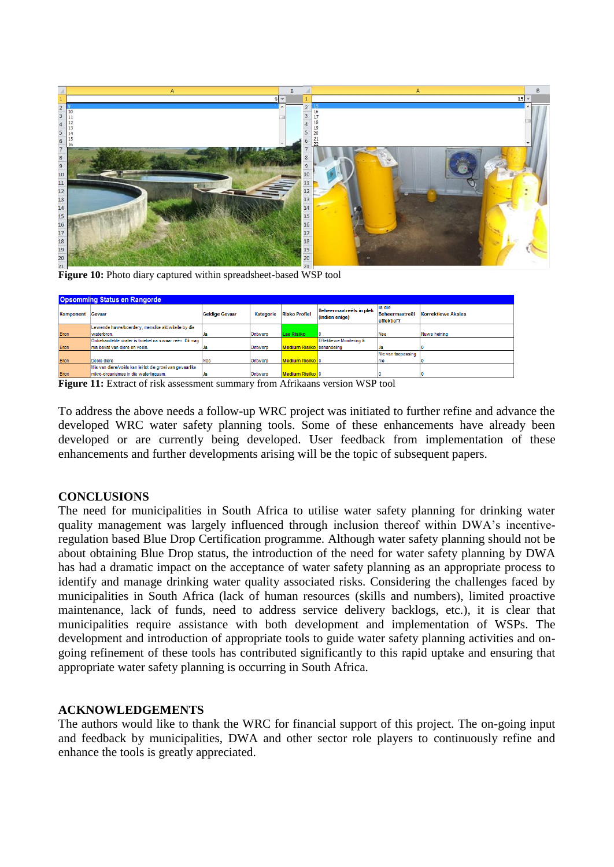

Figure 10: Photo diary captured within spreadsheet-based WSP tool

| Opsomming Status en Rangorde |                                                          |                       |                                   |                                  |                                           |                                        |                    |  |  |  |  |  |
|------------------------------|----------------------------------------------------------|-----------------------|-----------------------------------|----------------------------------|-------------------------------------------|----------------------------------------|--------------------|--|--|--|--|--|
| Komponent                    | Gevaar                                                   | <b>Geldige Gevaar</b> | <b>Risko Profiel</b><br>Kategorie |                                  | Beheermaatreëls in plek<br>(indien enige) | Is die<br>Beheermaatreël<br>effektief? | Korrektiewe Aksies |  |  |  |  |  |
|                              | Lewende hawe/boerdery, menslike aktiwiteite by die       |                       |                                   |                                  |                                           |                                        |                    |  |  |  |  |  |
| <b>Bron</b>                  | waterbron.                                               |                       | Ontwerp                           | Lae Risiko                       |                                           | Nee                                    | Nuwe heining       |  |  |  |  |  |
|                              | Onbehandelde water is troebel na swaar reën. Dit mag     |                       |                                   |                                  | Effektiewe Monitering &                   |                                        |                    |  |  |  |  |  |
| <b>Bron</b>                  | mis bevat van diere en voëls.                            |                       | Ontwerp                           | <b>Medium Risiko</b> behandeling |                                           |                                        |                    |  |  |  |  |  |
|                              |                                                          |                       |                                   |                                  |                                           | Nie van toepassing                     |                    |  |  |  |  |  |
| <b>Bron</b>                  | Dooie diere                                              | Nee                   | Ontwerp                           | Medium Risiko I 0                |                                           | nie                                    |                    |  |  |  |  |  |
|                              | Mis van diere/voëls kan lei tot die groei van gevaarlike |                       |                                   |                                  |                                           |                                        |                    |  |  |  |  |  |
| <b>Bron</b>                  | mikro-organismes in die waterliggaam.                    |                       | Ontwerp                           | Medium Risiko 10                 |                                           |                                        |                    |  |  |  |  |  |

Figure 11: Extract of risk assessment summary from Afrikaans version WSP tool

To address the above needs a follow-up WRC project was initiated to further refine and advance the developed WRC water safety planning tools. Some of these enhancements have already been developed or are currently being developed. User feedback from implementation of these enhancements and further developments arising will be the topic of subsequent papers.

## **CONCLUSIONS**

The need for municipalities in South Africa to utilise water safety planning for drinking water quality management was largely influenced through inclusion thereof within DWA's incentiveregulation based Blue Drop Certification programme. Although water safety planning should not be about obtaining Blue Drop status, the introduction of the need for water safety planning by DWA has had a dramatic impact on the acceptance of water safety planning as an appropriate process to identify and manage drinking water quality associated risks. Considering the challenges faced by municipalities in South Africa (lack of human resources (skills and numbers), limited proactive maintenance, lack of funds, need to address service delivery backlogs, etc.), it is clear that municipalities require assistance with both development and implementation of WSPs. The development and introduction of appropriate tools to guide water safety planning activities and ongoing refinement of these tools has contributed significantly to this rapid uptake and ensuring that appropriate water safety planning is occurring in South Africa.

## **ACKNOWLEDGEMENTS**

The authors would like to thank the WRC for financial support of this project. The on-going input and feedback by municipalities, DWA and other sector role players to continuously refine and enhance the tools is greatly appreciated.